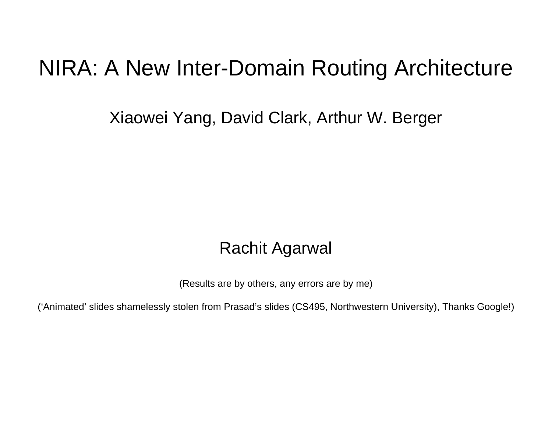### NIRA: A New Inter-Domain Routing Architecture

Xiaowei Yang, David Clark, Arthur W. Berger

#### Rachit Agarwal

(Results are by others, any errors are by me)

('Animated' slides shamelessly stolen from Prasad's slides (CS495, Northwestern University), Thanks Google!)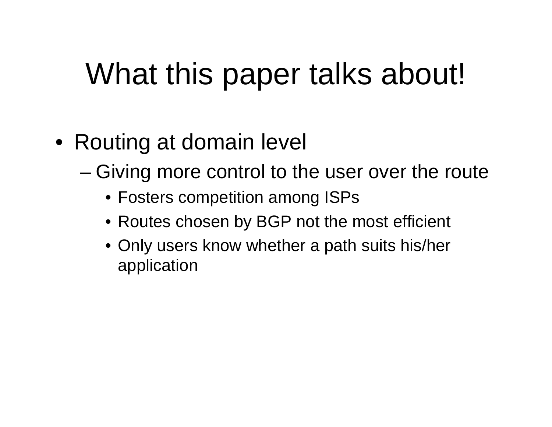# What this paper talks about!

- Routing at domain level
	- Giving more control to the user over the route
		- Fosters competition among ISPs
		- Routes chosen by BGP not the most efficient
		- Only users know whether a path suits his/her application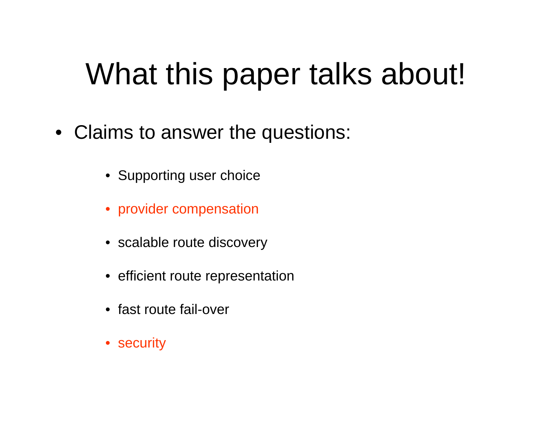# What this paper talks about!

- Claims to answer the questions:
	- Supporting user choice
	- provider compensation
	- scalable route discovery
	- efficient route representation
	- fast route fail-over
	- security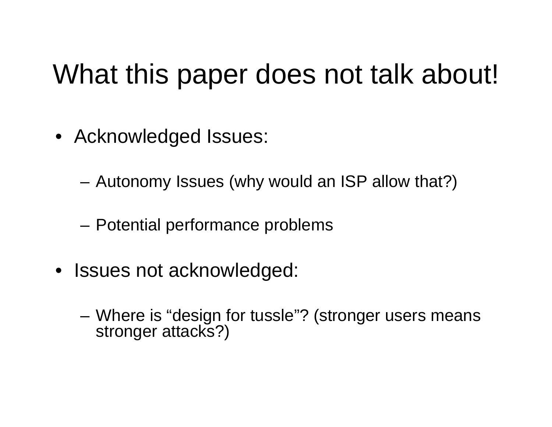## What this paper does not talk about!

- Acknowledged Issues:
	- Autonomy Issues (why would an ISP allow that?)
	- –Potential performance problems
- Issues not acknowledged:
	- Where is "design for tussle"? (stronger users means stronger attacks?)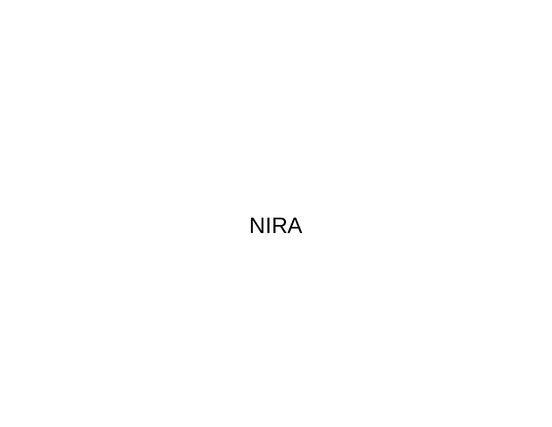### NIRA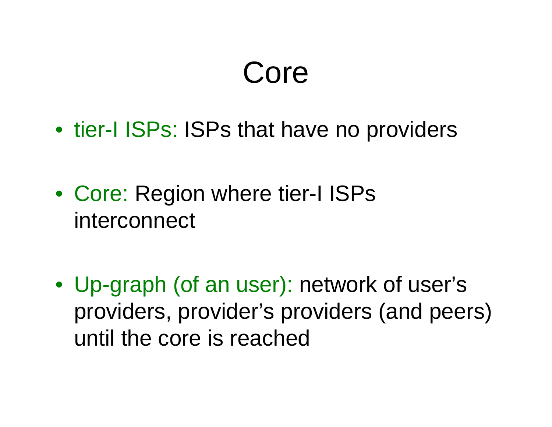# Core

- tier-I ISPs: ISPs that have no providers
- Core: Region where tier-I ISPs interconnect
- Up-graph (of an user): network of user's providers, provider's providers (and peers) until the core is reached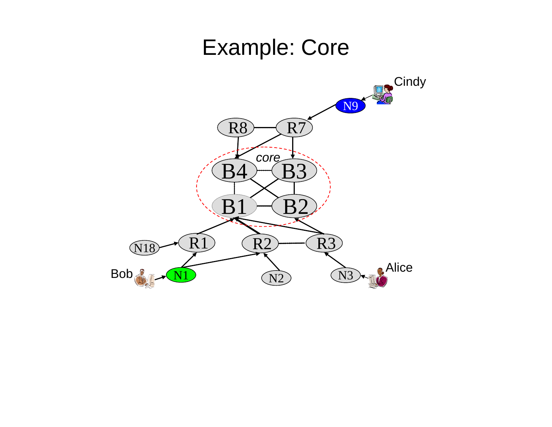### Example: Core

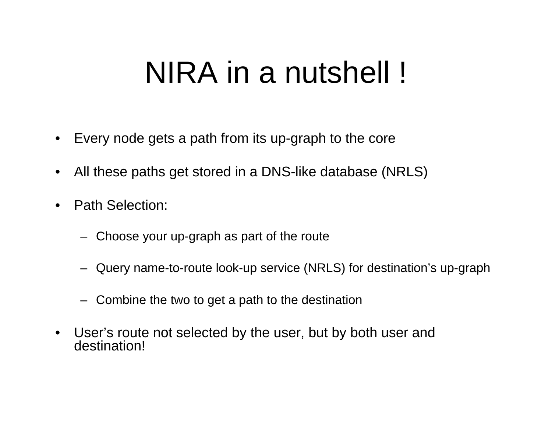# NIRA in a nutshell !

- •Every node gets a path from its up-graph to the core
- $\bullet$ All these paths get stored in a DNS-like database (NRLS)
- $\bullet$  Path Selection:
	- Choose your up-graph as part of the route
	- Query name-to-route look-up service (NRLS) for destination's up-graph
	- Combine the two to get a path to the destination
- $\bullet$  User's route not selected by the user, but by both user and destination!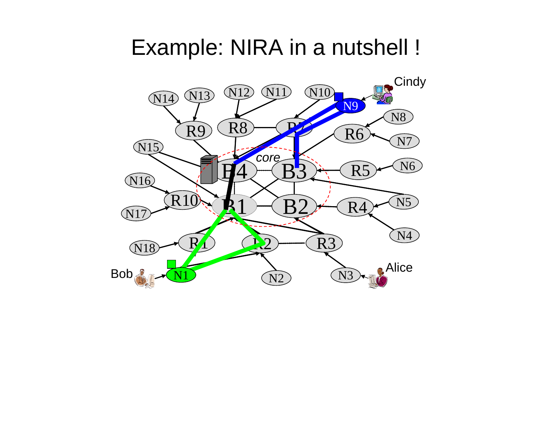### Example: NIRA in a nutshell !

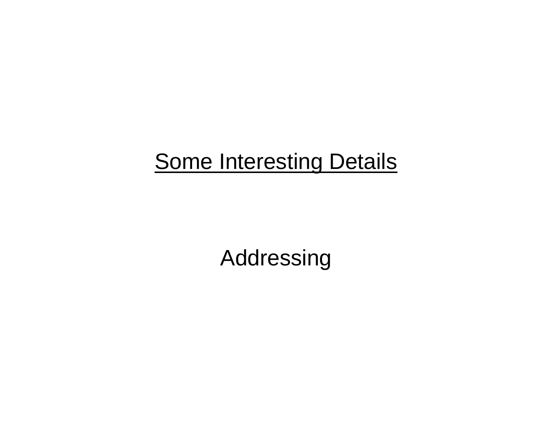## **Some Interesting Details**

Addressing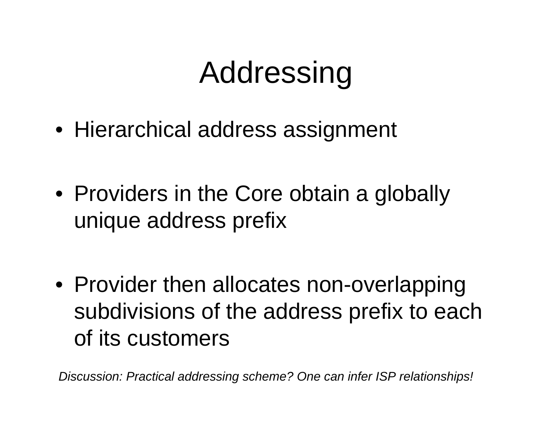# Addressing

- Hierarchical address assignment
- Providers in the Core obtain a globally unique address prefix
- Provider then allocates non-overlapping subdivisions of the address prefix to each of its customers

*Discussion: Practical addressing scheme? One can infer ISP relationships!*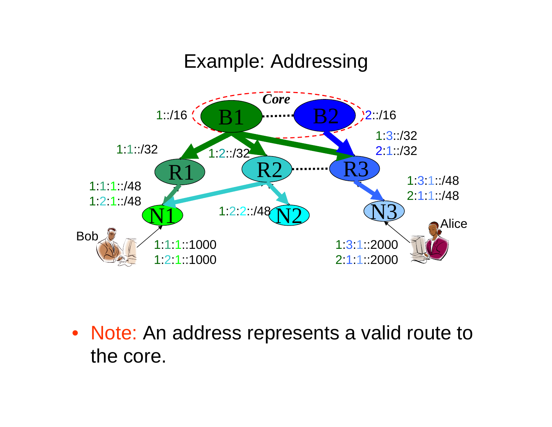#### Example: Addressing



• Note: An address represents a valid route to the core.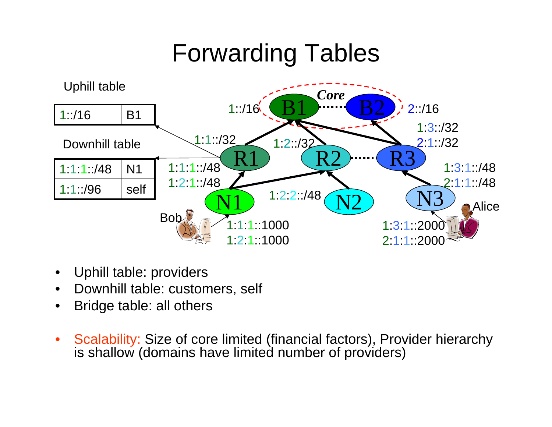## Forwarding Tables



- $\bullet$ Uphill table: providers
- $\bullet$ Downhill table: customers, self
- •Bridge table: all others
- $\bullet$  Scalability: Size of core limited (financial factors), Provider hierarchy is shallow (domains have limited number of providers)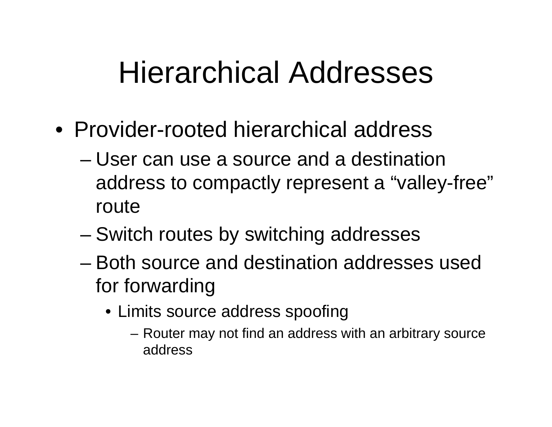## Hierarchical Addresses

- Provider-rooted hierarchical address
	- User can use a source and a destination address to compactly represent a "valley-free" route
	- –Switch routes by switching addresses
	- Both source and destination addresses used for forwarding
		- Limits source address spoofing
			- Router may not find an address with an arbitrary source address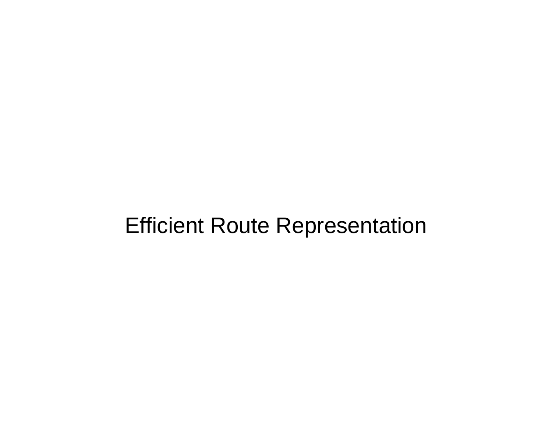### Efficient Route Representation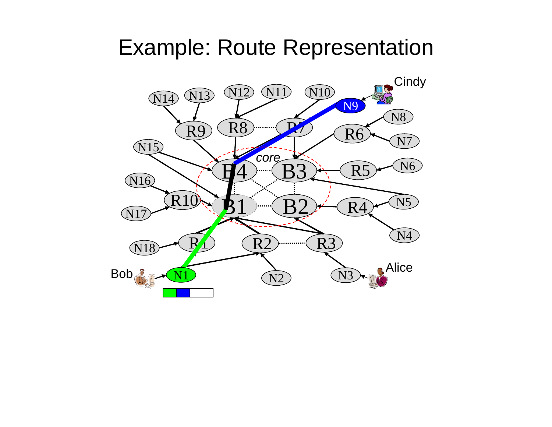### Example: Route Representation

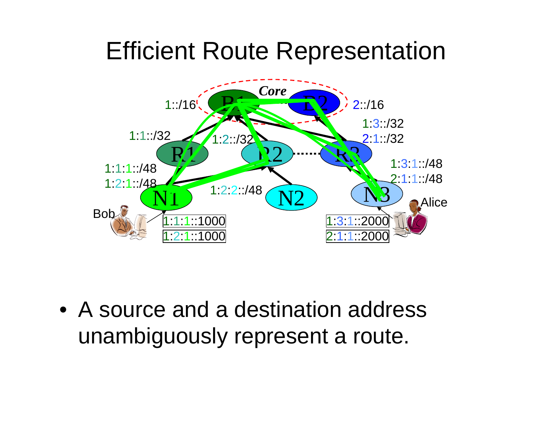## Efficient Route Representation



• A source and a destination address unambiguously represent a route.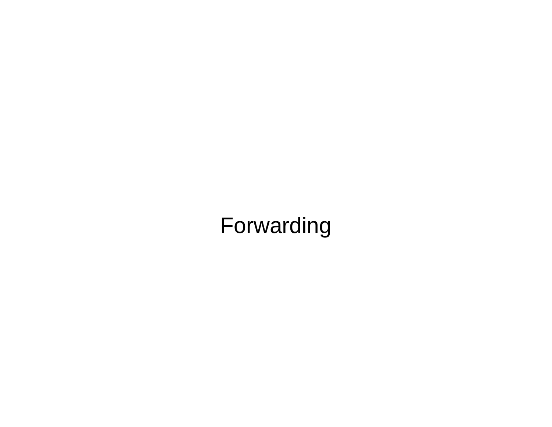## Forwarding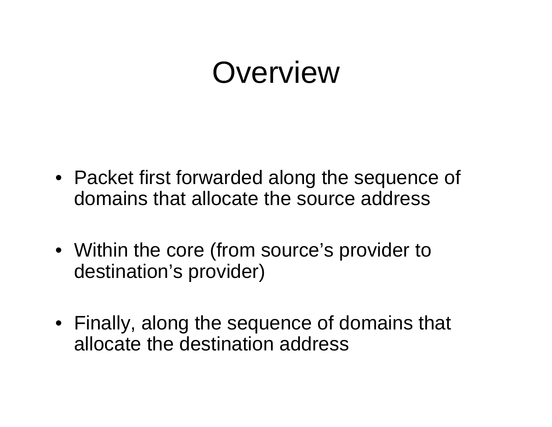## Overview

- Packet first forwarded along the sequence of domains that allocate the source address
- Within the core (from source's provider to destination's provider)
- Finally, along the sequence of domains that allocate the destination address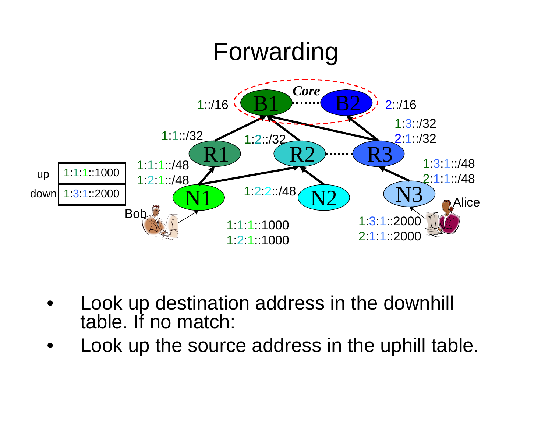

- • Look up destination address in the downhill table. If no match:
- •Look up the source address in the uphill table.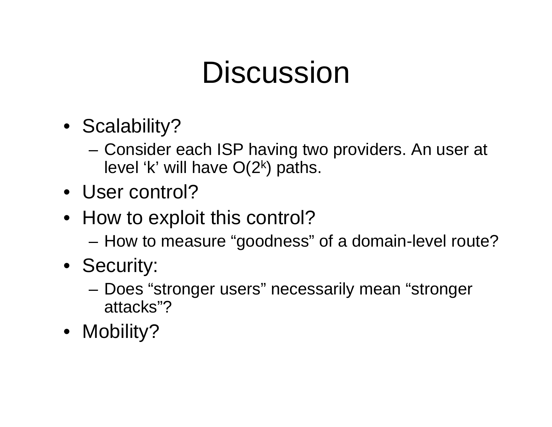## **Discussion**

- Scalability?
	- Consider each ISP having two providers. An user at level 'k' will have  $O(2^k)$  paths.
- User control?
- How to exploit this control?
	- How to measure "goodness" of a domain-level route?
- Security:
	- Does "stronger users" necessarily mean "stronger attacks"?
- Mobility?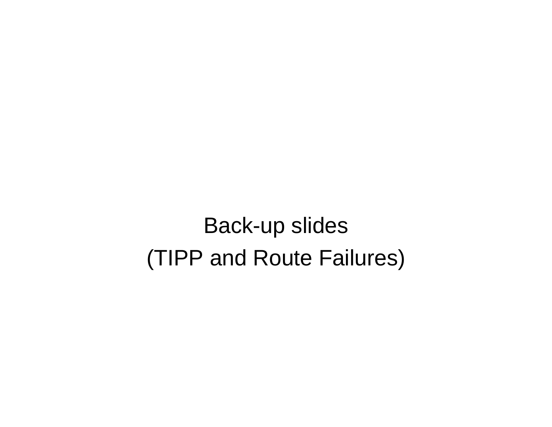Back-up slides (TIPP and Route Failures)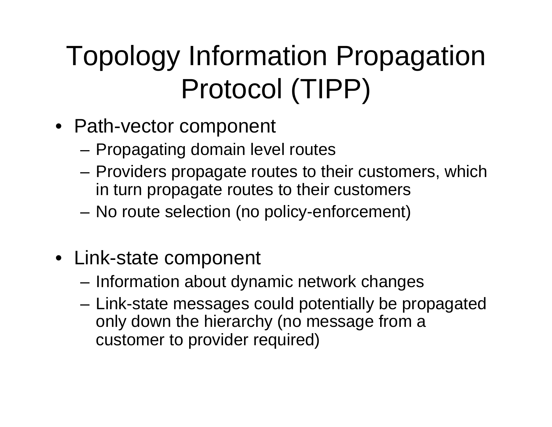# Topology Information Propagation Protocol (TIPP)

- Path-vector component
	- Propagating domain level routes
	- Providers propagate routes to their customers, which in turn propagate routes to their customers
	- No route selection (no policy-enforcement)
- Link-state component
	- –Information about dynamic network changes
	- – Link-state messages could potentially be propagated only down the hierarchy (no message from a customer to provider required)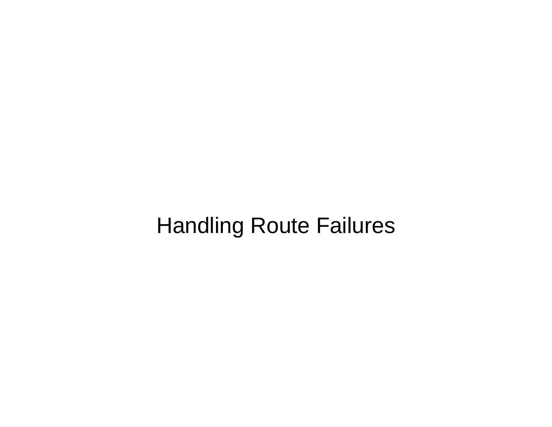## Handling Route Failures